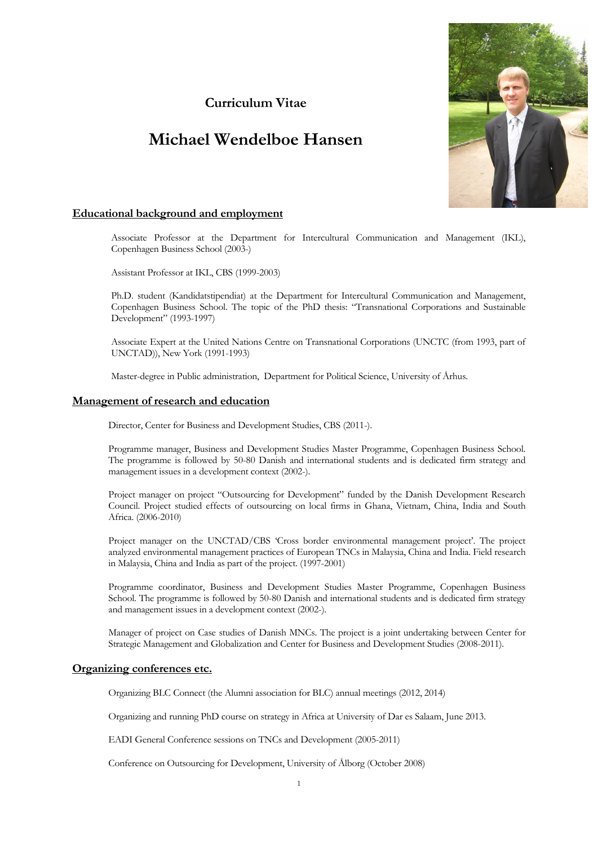# **Curriculum Vitae**

# **Michael Wendelboe Hansen**



# **Educational background and employment**

Associate Professor at the Department for Intercultural Communication and Management (IKL), Copenhagen Business School (2003-)

Assistant Professor at IKL, CBS (1999-2003)

Ph.D. student (Kandidatstipendiat) at the Department for Intercultural Communication and Management, Copenhagen Business School. The topic of the PhD thesis: "Transnational Corporations and Sustainable Development" (1993-1997)

Associate Expert at the United Nations Centre on Transnational Corporations (UNCTC (from 1993, part of UNCTAD)), New York (1991-1993)

Master-degree in Public administration, Department for Political Science, University of Århus.

### **Management of research and education**

Director, Center for Business and Development Studies, CBS (2011-).

Programme manager, Business and Development Studies Master Programme, Copenhagen Business School. The programme is followed by 50-80 Danish and international students and is dedicated firm strategy and management issues in a development context (2002-).

Project manager on project "Outsourcing for Development" funded by the Danish Development Research Council. Project studied effects of outsourcing on local firms in Ghana, Vietnam, China, India and South Africa. (2006-2010)

Project manager on the UNCTAD/CBS 'Cross border environmental management project'. The project analyzed environmental management practices of European TNCs in Malaysia, China and India. Field research in Malaysia, China and India as part of the project. (1997-2001)

Programme coordinator, Business and Development Studies Master Programme, Copenhagen Business School. The programme is followed by 50-80 Danish and international students and is dedicated firm strategy and management issues in a development context (2002-).

Manager of project on Case studies of Danish MNCs. The project is a joint undertaking between Center for Strategic Management and Globalization and Center for Business and Development Studies (2008-2011).

# **Organizing conferences etc.**

Organizing BLC Connect (the Alumni association for BLC) annual meetings (2012, 2014)

Organizing and running PhD course on strategy in Africa at University of Dar es Salaam, June 2013.

EADI General Conference sessions on TNCs and Development (2005-2011)

Conference on Outsourcing for Development, University of Ålborg (October 2008)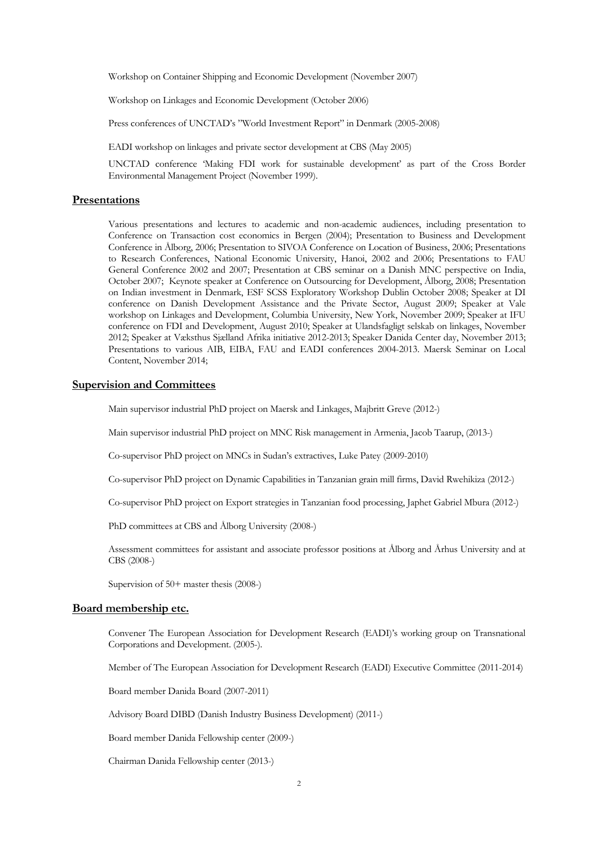Workshop on Container Shipping and Economic Development (November 2007)

Workshop on Linkages and Economic Development (October 2006)

Press conferences of UNCTAD's "World Investment Report" in Denmark (2005-2008)

EADI workshop on linkages and private sector development at CBS (May 2005)

UNCTAD conference 'Making FDI work for sustainable development' as part of the Cross Border Environmental Management Project (November 1999).

# **Presentations**

Various presentations and lectures to academic and non-academic audiences, including presentation to Conference on Transaction cost economics in Bergen (2004); Presentation to Business and Development Conference in Ålborg, 2006; Presentation to SIVOA Conference on Location of Business, 2006; Presentations to Research Conferences, National Economic University, Hanoi, 2002 and 2006; Presentations to FAU General Conference 2002 and 2007; Presentation at CBS seminar on a Danish MNC perspective on India, October 2007; Keynote speaker at Conference on Outsourcing for Development, Ålborg, 2008; Presentation on Indian investment in Denmark, ESF SCSS Exploratory Workshop Dublin October 2008; Speaker at DI conference on Danish Development Assistance and the Private Sector, August 2009; Speaker at Vale workshop on Linkages and Development, Columbia University, New York, November 2009; Speaker at IFU conference on FDI and Development, August 2010; Speaker at Ulandsfagligt selskab on linkages, November 2012; Speaker at Væksthus Sjælland Afrika initiative 2012-2013; Speaker Danida Center day, November 2013; Presentations to various AIB, EIBA, FAU and EADI conferences 2004-2013. Maersk Seminar on Local Content, November 2014;

# **Supervision and Committees**

Main supervisor industrial PhD project on Maersk and Linkages, Majbritt Greve (2012-)

Main supervisor industrial PhD project on MNC Risk management in Armenia, Jacob Taarup, (2013-)

Co-supervisor PhD project on MNCs in Sudan's extractives, Luke Patey (2009-2010)

Co-supervisor PhD project on Dynamic Capabilities in Tanzanian grain mill firms, David Rwehikiza (2012-)

Co-supervisor PhD project on Export strategies in Tanzanian food processing, Japhet Gabriel Mbura (2012-)

PhD committees at CBS and Ålborg University (2008-)

Assessment committees for assistant and associate professor positions at Ålborg and Århus University and at CBS (2008-)

Supervision of 50+ master thesis (2008-)

# **Board membership etc.**

Convener The European Association for Development Research (EADI)'s working group on Transnational Corporations and Development. (2005-).

Member of The European Association for Development Research (EADI) Executive Committee (2011-2014)

Board member Danida Board (2007-2011)

Advisory Board DIBD (Danish Industry Business Development) (2011-)

Board member Danida Fellowship center (2009-)

Chairman Danida Fellowship center (2013-)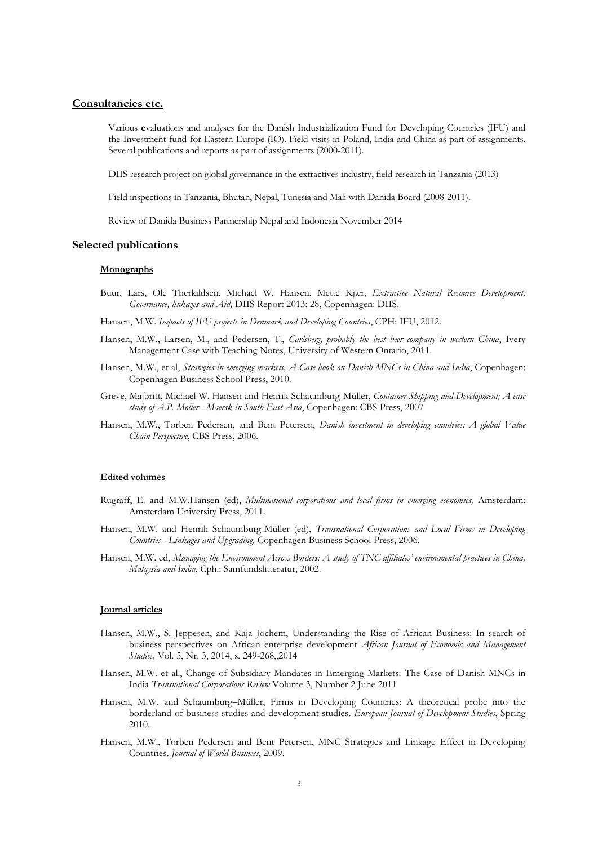### **Consultancies etc.**

Various **e**valuations and analyses for the Danish Industrialization Fund for Developing Countries (IFU) and the Investment fund for Eastern Europe (IØ). Field visits in Poland, India and China as part of assignments. Several publications and reports as part of assignments (2000-2011).

DIIS research project on global governance in the extractives industry, field research in Tanzania (2013)

Field inspections in Tanzania, Bhutan, Nepal, Tunesia and Mali with Danida Board (2008-2011).

Review of Danida Business Partnership Nepal and Indonesia November 2014

### **Selected publications**

#### **Monographs**

Buur, Lars, Ole Therkildsen, Michael W. Hansen, Mette Kjær, *Extractive Natural Resource Development: Governance, linkages and Aid,* DIIS Report 2013: 28, Copenhagen: DIIS.

Hansen, M.W. *Impacts of IFU projects in Denmark and Developing Countries*, CPH: IFU, 2012.

- Hansen, M.W., Larsen, M., and Pedersen, T., *Carlsberg, probably the best beer company in western China*, Ivery Management Case with Teaching Notes, University of Western Ontario, 2011.
- Hansen, M.W., et al, *Strategies in emerging markets, A Case book on Danish MNCs in China and India*, Copenhagen: Copenhagen Business School Press, 2010.
- Greve, Majbritt, Michael W. Hansen and Henrik Schaumburg-Müller, *Container Shipping and Development; A case study of A.P. Moller - Maersk in South East Asia*, Copenhagen: CBS Press, 2007
- Hansen, M.W., Torben Pedersen, and Bent Petersen, *Danish investment in developing countries: A global Value Chain Perspective*, CBS Press, 2006.

#### **Edited volumes**

- Rugraff, E. and M.W.Hansen (ed), *Multinational corporations and local firms in emerging economies,* Amsterdam: Amsterdam University Press, 2011.
- Hansen, M.W. and Henrik Schaumburg-Müller (ed), *Transnational Corporations and Local Firms in Developing Countries - Linkages and Upgrading,* Copenhagen Business School Press, 2006.
- Hansen, M.W. ed, *Managing the Environment Across Borders: A study of TNC affiliates' environmental practices in China, Malaysia and India*, Cph.: Samfundslitteratur, 2002.

#### **Journal articles**

- Hansen, M.W., S. Jeppesen, and Kaja Jochem, Understanding the Rise of African Business: In search of business perspectives on African enterprise development *African Journal of Economic and Management Studies,* Vol. 5, Nr. 3, 2014, s. 249-268,,2014
- Hansen, M.W. et al., Change of Subsidiary Mandates in Emerging Markets: The Case of Danish MNCs in India *Transnational Corporations Review* Volume 3, Number 2 June 2011
- Hansen, M.W. and Schaumburg–Müller, Firms in Developing Countries: A theoretical probe into the borderland of business studies and development studies. *European Journal of Development Studies*, Spring 2010.
- Hansen, M.W., Torben Pedersen and Bent Petersen, MNC Strategies and Linkage Effect in Developing Countries. *Journal of World Business*, 2009.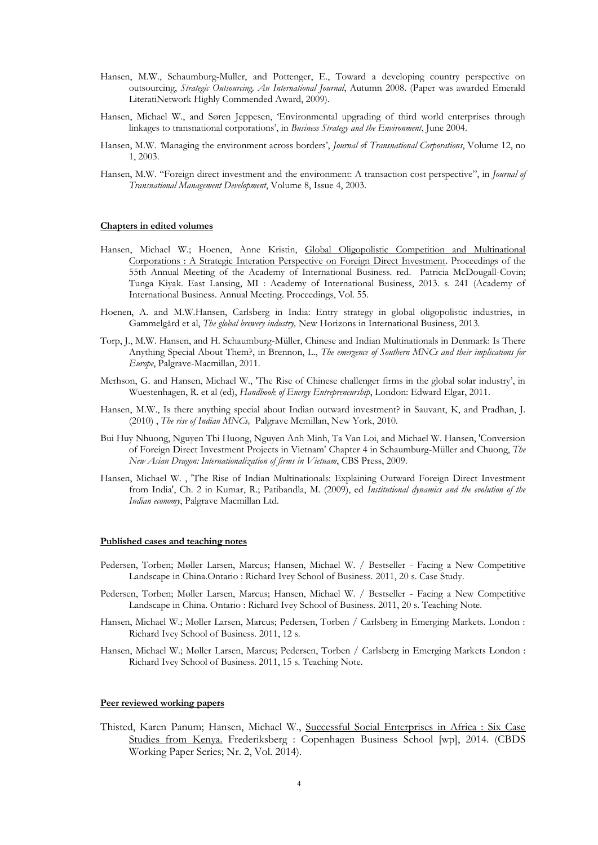- Hansen, M.W., Schaumburg-Muller, and Pottenger, E., Toward a developing country perspective on outsourcing, *Strategic Outsourcing, An International Journal*, Autumn 2008. (Paper was awarded Emerald LiteratiNetwork Highly Commended Award, 2009).
- Hansen, Michael W., and Søren Jeppesen, 'Environmental upgrading of third world enterprises through linkages to transnational corporations', in *Business Strategy and the Environment*, June 2004.
- Hansen, M.W. *'*Managing the environment across borders', *Journal o*f *Transnational Corporations*, Volume 12, no 1, 2003.
- Hansen, M.W. "Foreign direct investment and the environment: A transaction cost perspective", in *Journal of Transnational Management Development*, Volume 8, Issue 4, 2003.

#### **Chapters in edited volumes**

- Hansen, Michael W.; Hoenen, Anne Kristin, Global Oligopolistic Competition and Multinational Corporations : A Strategic Interation Perspective on Foreign Direct Investment. Proceedings of the 55th Annual Meeting of the Academy of International Business. red. Patricia McDougall-Covin; Tunga Kiyak. East Lansing, MI : Academy of International Business, 2013. s. 241 (Academy of International Business. Annual Meeting. Proceedings, Vol. 55.
- Hoenen, A. and M.W.Hansen, Carlsberg in India: Entry strategy in global oligopolistic industries, in Gammelgård et al, *The global brewery industry,* New Horizons in International Business, 2013*.*
- Torp, J., M.W. Hansen, and H. Schaumburg-Müller, Chinese and Indian Multinationals in Denmark: Is There Anything Special About Them?, in Brennon, L., *The emergence of Southern MNCs and their implications for Europe*, Palgrave-Macmillan, 2011.
- Merhson, G. and Hansen, Michael W., 'The Rise of Chinese challenger firms in the global solar industry', in Wuestenhagen, R. et al (ed), *Handbook of Energy Entrepreneurship*, London: Edward Elgar, 2011.
- Hansen, M.W., Is there anything special about Indian outward investment? in Sauvant, K, and Pradhan, J. (2010) , *The rise of Indian MNCs,* Palgrave Mcmillan, New York, 2010.
- Bui Huy Nhuong, Nguyen Thi Huong, Nguyen Anh Minh, Ta Van Loi, and Michael W. Hansen, 'Conversion of Foreign Direct Investment Projects in Vietnam' Chapter 4 in Schaumburg-Müller and Chuong, *The New Asian Dragon: Internationalization of firms in Vietnam*, CBS Press, 2009.
- Hansen, Michael W. , 'The Rise of Indian Multinationals: Explaining Outward Foreign Direct Investment from India', Ch. 2 in Kumar, R.; Patibandla, M. (2009), ed *Institutional dynamics and the evolution of the Indian economy*, Palgrave Macmillan Ltd.

#### **Published cases and teaching notes**

- Pedersen, Torben; Møller Larsen, Marcus; Hansen, Michael W. / Bestseller Facing a New Competitive Landscape in China.Ontario : Richard Ivey School of Business. 2011, 20 s. Case Study.
- Pedersen, Torben; Møller Larsen, Marcus; Hansen, Michael W. / Bestseller Facing a New Competitive Landscape in China. Ontario : Richard Ivey School of Business. 2011, 20 s. Teaching Note.
- Hansen, Michael W.; Møller Larsen, Marcus; Pedersen, Torben / Carlsberg in Emerging Markets. London : Richard Ivey School of Business. 2011, 12 s.
- Hansen, Michael W.; Møller Larsen, Marcus; Pedersen, Torben / Carlsberg in Emerging Markets London : Richard Ivey School of Business. 2011, 15 s. Teaching Note.

#### **Peer reviewed working papers**

Thisted, Karen Panum; Hansen, Michael W., Successful Social Enterprises in Africa : Six Case Studies from Kenya. Frederiksberg : Copenhagen Business School [wp], 2014. (CBDS Working Paper Series; Nr. 2, Vol. 2014).